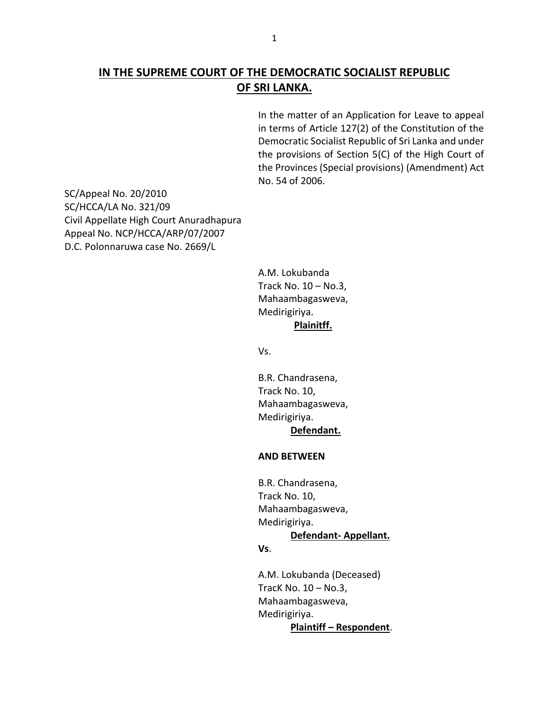# **IN THE SUPREME COURT OF THE DEMOCRATIC SOCIALIST REPUBLIC OF SRI LANKA.**

In the matter of an Application for Leave to appeal in terms of Article 127(2) of the Constitution of the Democratic Socialist Republic of Sri Lanka and under the provisions of Section 5(C) of the High Court of the Provinces (Special provisions) (Amendment) Act No. 54 of 2006.

SC/Appeal No. 20/2010 SC/HCCA/LA No. 321/09 Civil Appellate High Court Anuradhapura Appeal No. NCP/HCCA/ARP/07/2007 D.C. Polonnaruwa case No. 2669/L

> A.M. Lokubanda Track No. 10 – No.3, Mahaambagasweva, Medirigiriya.

# **Plainitff.**

Vs.

B.R. Chandrasena, Track No. 10, Mahaambagasweva, Medirigiriya. **Defendant.** 

#### **AND BETWEEN**

B.R. Chandrasena, Track No. 10, Mahaambagasweva, Medirigiriya. **Defendant- Appellant. Vs**.

A.M. Lokubanda (Deceased) TracK No. 10 – No.3, Mahaambagasweva, Medirigiriya. **Plaintiff – Respondent**.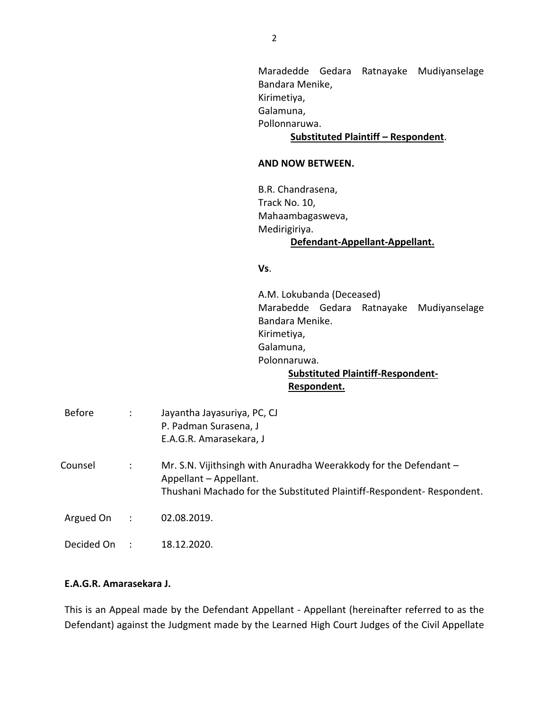Maradedde Gedara Ratnayake Mudiyanselage Bandara Menike, Kirimetiya, Galamuna, Pollonnaruwa. **Substituted Plaintiff – Respondent**.

#### **AND NOW BETWEEN.**

B.R. Chandrasena, Track No. 10, Mahaambagasweva, Medirigiriya. **Defendant-Appellant-Appellant.**

#### **Vs**.

A.M. Lokubanda (Deceased) Marabedde Gedara Ratnayake Mudiyanselage Bandara Menike. Kirimetiya, Galamuna, Polonnaruwa.  **Substituted Plaintiff-Respondent-** 

### **Respondent.**

| <b>Before</b> | $\ddot{\phantom{a}}$ | Jayantha Jayasuriya, PC, CJ<br>P. Padman Surasena, J<br>E.A.G.R. Amarasekara, J                                                                                       |
|---------------|----------------------|-----------------------------------------------------------------------------------------------------------------------------------------------------------------------|
| Counsel       | ÷                    | Mr. S.N. Vijithsingh with Anuradha Weerakkody for the Defendant -<br>Appellant - Appellant.<br>Thushani Machado for the Substituted Plaintiff-Respondent- Respondent. |
| Argued On     | $\ddot{\phantom{a}}$ | 02.08.2019.                                                                                                                                                           |
| Decided On    |                      | 18.12.2020.                                                                                                                                                           |

## **E.A.G.R. Amarasekara J.**

This is an Appeal made by the Defendant Appellant - Appellant (hereinafter referred to as the Defendant) against the Judgment made by the Learned High Court Judges of the Civil Appellate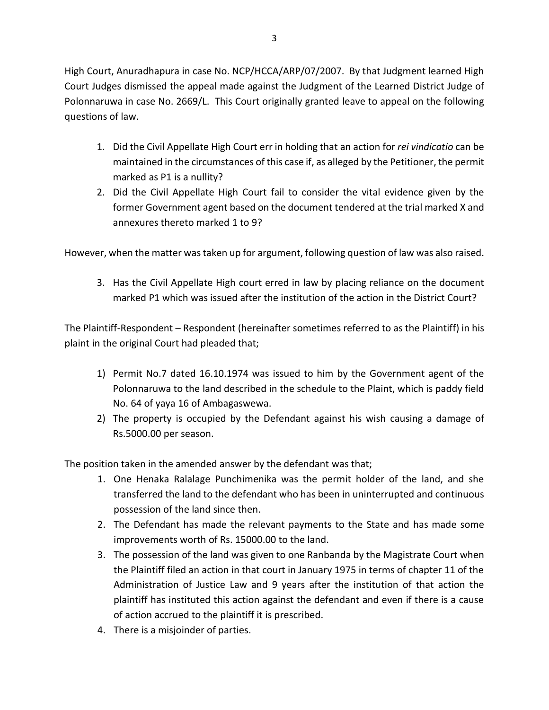High Court, Anuradhapura in case No. NCP/HCCA/ARP/07/2007. By that Judgment learned High Court Judges dismissed the appeal made against the Judgment of the Learned District Judge of Polonnaruwa in case No. 2669/L. This Court originally granted leave to appeal on the following questions of law.

- 1. Did the Civil Appellate High Court err in holding that an action for *rei vindicatio* can be maintained in the circumstances of this case if, as alleged by the Petitioner, the permit marked as P1 is a nullity?
- 2. Did the Civil Appellate High Court fail to consider the vital evidence given by the former Government agent based on the document tendered at the trial marked X and annexures thereto marked 1 to 9?

However, when the matter was taken up for argument, following question of law was also raised.

3. Has the Civil Appellate High court erred in law by placing reliance on the document marked P1 which was issued after the institution of the action in the District Court?

The Plaintiff-Respondent – Respondent (hereinafter sometimes referred to as the Plaintiff) in his plaint in the original Court had pleaded that;

- 1) Permit No.7 dated 16.10.1974 was issued to him by the Government agent of the Polonnaruwa to the land described in the schedule to the Plaint, which is paddy field No. 64 of yaya 16 of Ambagaswewa.
- 2) The property is occupied by the Defendant against his wish causing a damage of Rs.5000.00 per season.

The position taken in the amended answer by the defendant was that;

- 1. One Henaka Ralalage Punchimenika was the permit holder of the land, and she transferred the land to the defendant who has been in uninterrupted and continuous possession of the land since then.
- 2. The Defendant has made the relevant payments to the State and has made some improvements worth of Rs. 15000.00 to the land.
- 3. The possession of the land was given to one Ranbanda by the Magistrate Court when the Plaintiff filed an action in that court in January 1975 in terms of chapter 11 of the Administration of Justice Law and 9 years after the institution of that action the plaintiff has instituted this action against the defendant and even if there is a cause of action accrued to the plaintiff it is prescribed.
- 4. There is a misjoinder of parties.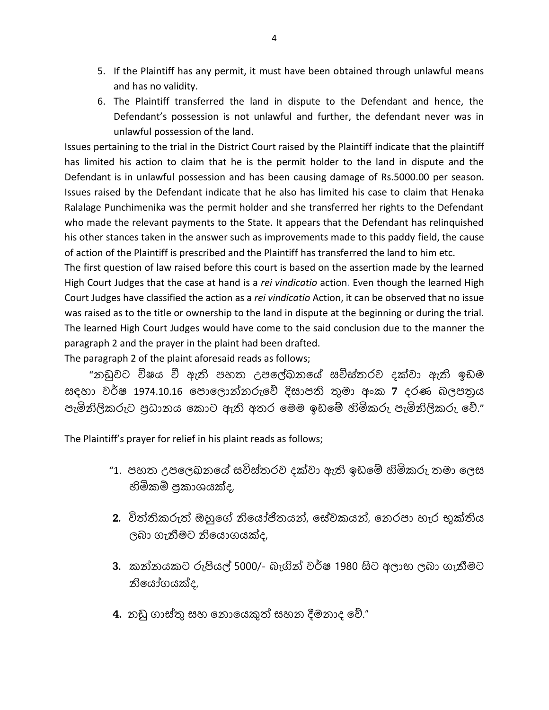- 5. If the Plaintiff has any permit, it must have been obtained through unlawful means and has no validity.
- 6. The Plaintiff transferred the land in dispute to the Defendant and hence, the Defendant's possession is not unlawful and further, the defendant never was in unlawful possession of the land.

Issues pertaining to the trial in the District Court raised by the Plaintiff indicate that the plaintiff has limited his action to claim that he is the permit holder to the land in dispute and the Defendant is in unlawful possession and has been causing damage of Rs.5000.00 per season. Issues raised by the Defendant indicate that he also has limited his case to claim that Henaka Ralalage Punchimenika was the permit holder and she transferred her rights to the Defendant who made the relevant payments to the State. It appears that the Defendant has relinquished his other stances taken in the answer such as improvements made to this paddy field, the cause of action of the Plaintiff is prescribed and the Plaintiff has transferred the land to him etc.

The first question of law raised before this court is based on the assertion made by the learned High Court Judges that the case at hand is a *rei vindicatio* action. Even though the learned High Court Judges have classified the action as a *rei vindicatio* Action, it can be observed that no issue was raised as to the title or ownership to the land in dispute at the beginning or during the trial. The learned High Court Judges would have come to the said conclusion due to the manner the paragraph 2 and the prayer in the plaint had been drafted.

The paragraph 2 of the plaint aforesaid reads as follows;

 "නඩුවට විෂය වී ඇති පහත උපලේඛනලේ සවිස්තරව දක්වා ඇති ඉඩම සඳහා වර්ෂ 1974.10.16 පොලොන්නරුවේ දිසාපති තුමා අංක 7 දරණ බලපතුය පැමිනිලිකරුට ප්රධානය ලකාට ඇති අතර ලමම ඉඩලේ හිමිකරු පැමිනිලිකරු ලේ."

The Plaintiff's prayer for relief in his plaint reads as follows;

- "1. පහත උපලෙඛනයේ සවිස්තරව දක්වා ඇති ඉඩමේ හිමිකරු තමා ලෙස හිමිකේ ප්රකාශයක්ද,
- $2.$  විත්තිකරුත් ඔහුගේ නියෝජිතයන්, සේවකයන්, නෙරපා හැර භක්තිය බා ගැනීමට නිලයාගයක්ද,
- 3. කන්නයකට රුපියල් 5000/- බැගින් වර්ෂ 1980 සිට අලාභ ලබා ගැනීමට නිලයෝගයක්ද,
- $4.$  නඩු ගාස්තු සහ නොයෙකුත් සහන දීමනාද වේ."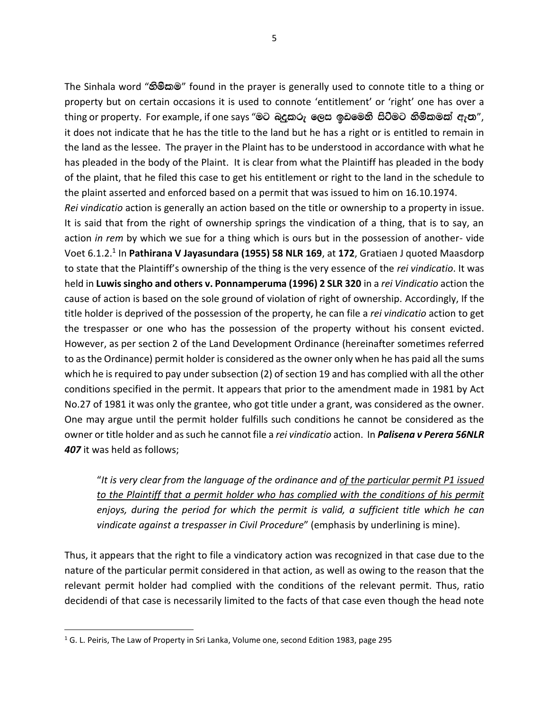The Sinhala word "හිමිකම" found in the prayer is generally used to connote title to a thing or property but on certain occasions it is used to connote 'entitlement' or 'right' one has over a thing or property. For example, if one says "මට බදුකරු ලෙස ඉඩමෙනි සිටීමට නිම්කමක් ඇත", it does not indicate that he has the title to the land but he has a right or is entitled to remain in the land as the lessee. The prayer in the Plaint has to be understood in accordance with what he has pleaded in the body of the Plaint. It is clear from what the Plaintiff has pleaded in the body of the plaint, that he filed this case to get his entitlement or right to the land in the schedule to the plaint asserted and enforced based on a permit that was issued to him on 16.10.1974.

*Rei vindicatio* action is generally an action based on the title or ownership to a property in issue. It is said that from the right of ownership springs the vindication of a thing, that is to say, an action *in rem* by which we sue for a thing which is ours but in the possession of another- vide Voet 6.1.2.<sup>1</sup> In Pathirana V Jayasundara (1955) 58 NLR 169, at 172, Gratiaen J quoted Maasdorp to state that the Plaintiff's ownership of the thing is the very essence of the *rei vindicatio*. It was held in **Luwis singho and others v. Ponnamperuma (1996) 2 SLR 320** in a *rei Vindicatio* action the cause of action is based on the sole ground of violation of right of ownership. Accordingly, If the title holder is deprived of the possession of the property, he can file a *rei vindicatio* action to get the trespasser or one who has the possession of the property without his consent evicted. However, as per section 2 of the Land Development Ordinance (hereinafter sometimes referred to as the Ordinance) permit holder is considered as the owner only when he has paid all the sums which he is required to pay under subsection (2) of section 19 and has complied with all the other conditions specified in the permit. It appears that prior to the amendment made in 1981 by Act No.27 of 1981 it was only the grantee, who got title under a grant, was considered as the owner. One may argue until the permit holder fulfills such conditions he cannot be considered as the owner or title holder and as such he cannot file a *rei vindicatio* action. In *Palisena v Perera 56NLR 407* it was held as follows;

"*It is very clear from the language of the ordinance and of the particular permit P1 issued to the Plaintiff that a permit holder who has complied with the conditions of his permit enjoys, during the period for which the permit is valid, a sufficient title which he can vindicate against a trespasser in Civil Procedure*" (emphasis by underlining is mine).

Thus, it appears that the right to file a vindicatory action was recognized in that case due to the nature of the particular permit considered in that action, as well as owing to the reason that the relevant permit holder had complied with the conditions of the relevant permit. Thus, ratio decidendi of that case is necessarily limited to the facts of that case even though the head note

<sup>&</sup>lt;sup>1</sup> G. L. Peiris, The Law of Property in Sri Lanka, Volume one, second Edition 1983, page 295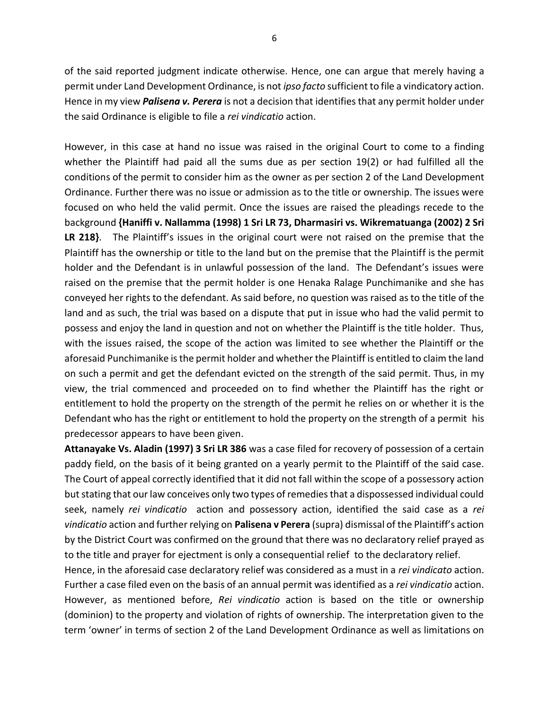of the said reported judgment indicate otherwise. Hence, one can argue that merely having a permit under Land Development Ordinance, is not *ipso facto* sufficient to file a vindicatory action. Hence in my view *Palisena v. Perera* is not a decision that identifies that any permit holder under the said Ordinance is eligible to file a *rei vindicatio* action.

However, in this case at hand no issue was raised in the original Court to come to a finding whether the Plaintiff had paid all the sums due as per section 19(2) or had fulfilled all the conditions of the permit to consider him as the owner as per section 2 of the Land Development Ordinance. Further there was no issue or admission as to the title or ownership. The issues were focused on who held the valid permit. Once the issues are raised the pleadings recede to the background **{Haniffi v. Nallamma (1998) 1 Sri LR 73, Dharmasiri vs. Wikrematuanga (2002) 2 Sri LR 218}**. The Plaintiff's issues in the original court were not raised on the premise that the Plaintiff has the ownership or title to the land but on the premise that the Plaintiff is the permit holder and the Defendant is in unlawful possession of the land. The Defendant's issues were raised on the premise that the permit holder is one Henaka Ralage Punchimanike and she has conveyed her rights to the defendant. As said before, no question was raised as to the title of the land and as such, the trial was based on a dispute that put in issue who had the valid permit to possess and enjoy the land in question and not on whether the Plaintiff is the title holder. Thus, with the issues raised, the scope of the action was limited to see whether the Plaintiff or the aforesaid Punchimanike is the permit holder and whether the Plaintiff is entitled to claim the land on such a permit and get the defendant evicted on the strength of the said permit. Thus, in my view, the trial commenced and proceeded on to find whether the Plaintiff has the right or entitlement to hold the property on the strength of the permit he relies on or whether it is the Defendant who has the right or entitlement to hold the property on the strength of a permit his predecessor appears to have been given.

**Attanayake Vs. Aladin (1997) 3 Sri LR 386** was a case filed for recovery of possession of a certain paddy field, on the basis of it being granted on a yearly permit to the Plaintiff of the said case. The Court of appeal correctly identified that it did not fall within the scope of a possessory action but stating that our law conceives only two types of remedies that a dispossessed individual could seek, namely *rei vindicatio* action and possessory action, identified the said case as a *rei vindicatio* action and further relying on **Palisena v Perera** (supra) dismissal of the Plaintiff's action by the District Court was confirmed on the ground that there was no declaratory relief prayed as to the title and prayer for ejectment is only a consequential relief to the declaratory relief.

Hence, in the aforesaid case declaratory relief was considered as a must in a *rei vindicato* action. Further a case filed even on the basis of an annual permit was identified as a *rei vindicatio* action. However, as mentioned before, *Rei vindicatio* action is based on the title or ownership (dominion) to the property and violation of rights of ownership. The interpretation given to the term 'owner' in terms of section 2 of the Land Development Ordinance as well as limitations on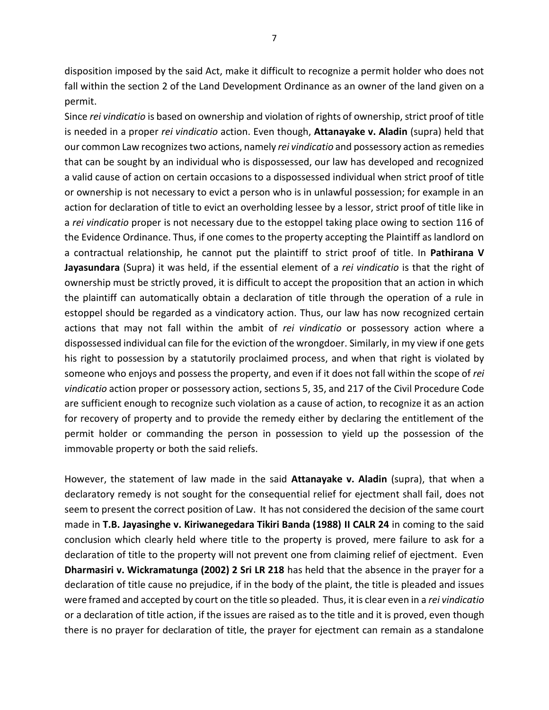disposition imposed by the said Act, make it difficult to recognize a permit holder who does not fall within the section 2 of the Land Development Ordinance as an owner of the land given on a permit.

Since *rei vindicatio* is based on ownership and violation of rights of ownership, strict proof of title is needed in a proper *rei vindicatio* action. Even though, **Attanayake v. Aladin** (supra) held that our common Law recognizes two actions, namely *rei vindicatio* and possessory action as remedies that can be sought by an individual who is dispossessed, our law has developed and recognized a valid cause of action on certain occasions to a dispossessed individual when strict proof of title or ownership is not necessary to evict a person who is in unlawful possession; for example in an action for declaration of title to evict an overholding lessee by a lessor, strict proof of title like in a *rei vindicatio* proper is not necessary due to the estoppel taking place owing to section 116 of the Evidence Ordinance. Thus, if one comes to the property accepting the Plaintiff as landlord on a contractual relationship, he cannot put the plaintiff to strict proof of title. In **Pathirana V Jayasundara** (Supra) it was held, if the essential element of a *rei vindicatio* is that the right of ownership must be strictly proved, it is difficult to accept the proposition that an action in which the plaintiff can automatically obtain a declaration of title through the operation of a rule in estoppel should be regarded as a vindicatory action. Thus, our law has now recognized certain actions that may not fall within the ambit of *rei vindicatio* or possessory action where a dispossessed individual can file for the eviction of the wrongdoer. Similarly, in my view if one gets his right to possession by a statutorily proclaimed process, and when that right is violated by someone who enjoys and possess the property, and even if it does not fall within the scope of *rei vindicatio* action proper or possessory action, sections 5, 35, and 217 of the Civil Procedure Code are sufficient enough to recognize such violation as a cause of action, to recognize it as an action for recovery of property and to provide the remedy either by declaring the entitlement of the permit holder or commanding the person in possession to yield up the possession of the immovable property or both the said reliefs.

However, the statement of law made in the said **Attanayake v. Aladin** (supra), that when a declaratory remedy is not sought for the consequential relief for ejectment shall fail, does not seem to present the correct position of Law. It has not considered the decision of the same court made in **T.B. Jayasinghe v. Kiriwanegedara Tikiri Banda (1988) II CALR 24** in coming to the said conclusion which clearly held where title to the property is proved, mere failure to ask for a declaration of title to the property will not prevent one from claiming relief of ejectment. Even **Dharmasiri v. Wickramatunga (2002) 2 Sri LR 218** has held that the absence in the prayer for a declaration of title cause no prejudice, if in the body of the plaint, the title is pleaded and issues were framed and accepted by court on the title so pleaded. Thus, it is clear even in a *rei vindicatio* or a declaration of title action, if the issues are raised as to the title and it is proved, even though there is no prayer for declaration of title, the prayer for ejectment can remain as a standalone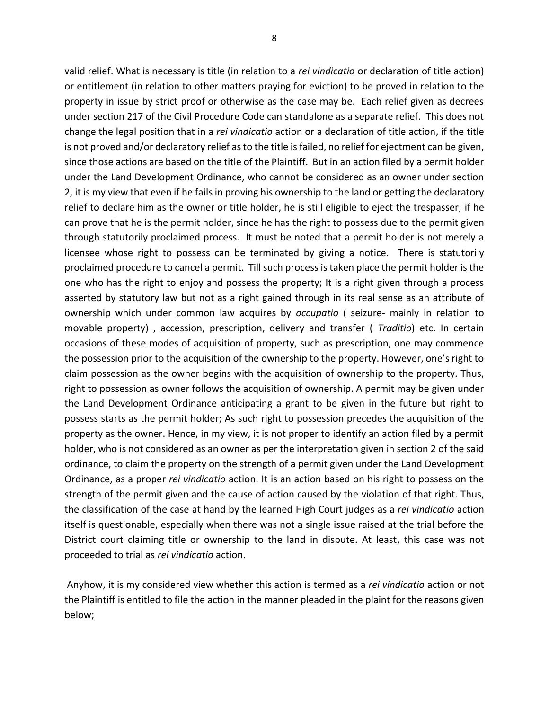valid relief. What is necessary is title (in relation to a *rei vindicatio* or declaration of title action) or entitlement (in relation to other matters praying for eviction) to be proved in relation to the property in issue by strict proof or otherwise as the case may be. Each relief given as decrees under section 217 of the Civil Procedure Code can standalone as a separate relief. This does not change the legal position that in a *rei vindicatio* action or a declaration of title action, if the title is not proved and/or declaratory relief as to the title is failed, no relief for ejectment can be given, since those actions are based on the title of the Plaintiff. But in an action filed by a permit holder under the Land Development Ordinance, who cannot be considered as an owner under section 2, it is my view that even if he fails in proving his ownership to the land or getting the declaratory relief to declare him as the owner or title holder, he is still eligible to eject the trespasser, if he can prove that he is the permit holder, since he has the right to possess due to the permit given through statutorily proclaimed process. It must be noted that a permit holder is not merely a licensee whose right to possess can be terminated by giving a notice. There is statutorily proclaimed procedure to cancel a permit. Till such process is taken place the permit holder is the one who has the right to enjoy and possess the property; It is a right given through a process asserted by statutory law but not as a right gained through in its real sense as an attribute of ownership which under common law acquires by *occupatio* ( seizure- mainly in relation to movable property) , accession, prescription, delivery and transfer ( *Traditio*) etc. In certain occasions of these modes of acquisition of property, such as prescription, one may commence the possession prior to the acquisition of the ownership to the property. However, one's right to claim possession as the owner begins with the acquisition of ownership to the property. Thus, right to possession as owner follows the acquisition of ownership. A permit may be given under the Land Development Ordinance anticipating a grant to be given in the future but right to possess starts as the permit holder; As such right to possession precedes the acquisition of the property as the owner. Hence, in my view, it is not proper to identify an action filed by a permit holder, who is not considered as an owner as per the interpretation given in section 2 of the said ordinance, to claim the property on the strength of a permit given under the Land Development Ordinance, as a proper *rei vindicatio* action. It is an action based on his right to possess on the strength of the permit given and the cause of action caused by the violation of that right. Thus, the classification of the case at hand by the learned High Court judges as a *rei vindicatio* action itself is questionable, especially when there was not a single issue raised at the trial before the District court claiming title or ownership to the land in dispute. At least, this case was not proceeded to trial as *rei vindicatio* action.

Anyhow, it is my considered view whether this action is termed as a *rei vindicatio* action or not the Plaintiff is entitled to file the action in the manner pleaded in the plaint for the reasons given below;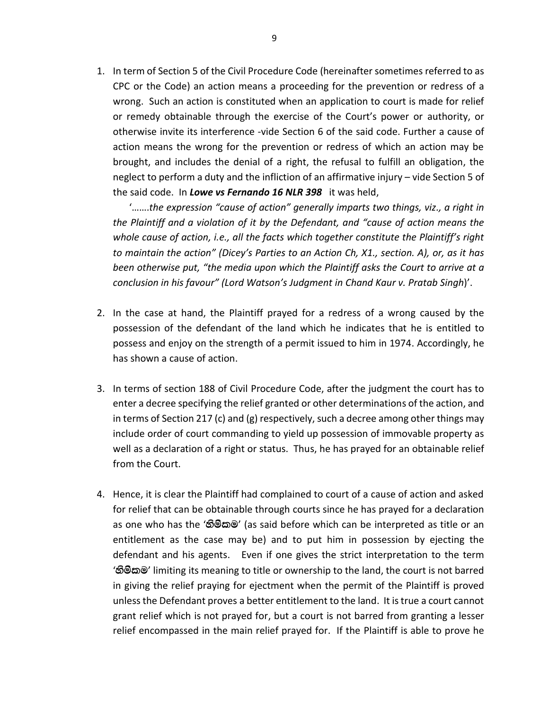1. In term of Section 5 of the Civil Procedure Code (hereinafter sometimes referred to as CPC or the Code) an action means a proceeding for the prevention or redress of a wrong. Such an action is constituted when an application to court is made for relief or remedy obtainable through the exercise of the Court's power or authority, or otherwise invite its interference -vide Section 6 of the said code. Further a cause of action means the wrong for the prevention or redress of which an action may be brought, and includes the denial of a right, the refusal to fulfill an obligation, the neglect to perform a duty and the infliction of an affirmative injury – vide Section 5 of the said code. In *Lowe vs Fernando 16 NLR 398* it was held,

'…….*the expression "cause of action" generally imparts two things, viz., a right in the Plaintiff and a violation of it by the Defendant, and "cause of action means the whole cause of action, i.e., all the facts which together constitute the Plaintiff's right to maintain the action" (Dicey's Parties to an Action Ch, X1., section. A), or, as it has been otherwise put, "the media upon which the Plaintiff asks the Court to arrive at a conclusion in his favour" (Lord Watson's Judgment in Chand Kaur v. Pratab Singh*)'.

- 2. In the case at hand, the Plaintiff prayed for a redress of a wrong caused by the possession of the defendant of the land which he indicates that he is entitled to possess and enjoy on the strength of a permit issued to him in 1974. Accordingly, he has shown a cause of action.
- 3. In terms of section 188 of Civil Procedure Code, after the judgment the court has to enter a decree specifying the relief granted or other determinations of the action, and in terms of Section 217 (c) and (g) respectively, such a decree among other things may include order of court commanding to yield up possession of immovable property as well as a declaration of a right or status. Thus, he has prayed for an obtainable relief from the Court.
- 4. Hence, it is clear the Plaintiff had complained to court of a cause of action and asked for relief that can be obtainable through courts since he has prayed for a declaration as one who has the 'හිමිකම' (as said before which can be interpreted as title or an entitlement as the case may be) and to put him in possession by ejecting the defendant and his agents. Even if one gives the strict interpretation to the term 'හිමිකම' limiting its meaning to title or ownership to the land, the court is not barred in giving the relief praying for ejectment when the permit of the Plaintiff is proved unlessthe Defendant proves a better entitlement to the land. It is true a court cannot grant relief which is not prayed for, but a court is not barred from granting a lesser relief encompassed in the main relief prayed for. If the Plaintiff is able to prove he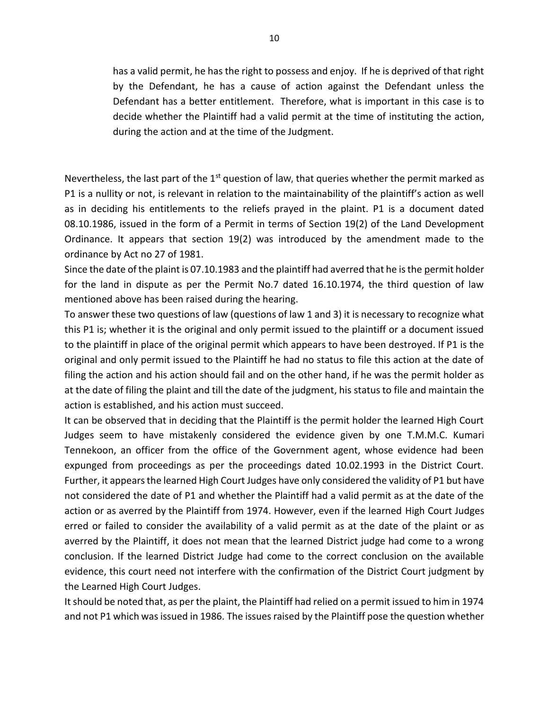has a valid permit, he has the right to possess and enjoy. If he is deprived of that right by the Defendant, he has a cause of action against the Defendant unless the Defendant has a better entitlement. Therefore, what is important in this case is to decide whether the Plaintiff had a valid permit at the time of instituting the action, during the action and at the time of the Judgment.

Nevertheless, the last part of the  $1<sup>st</sup>$  question of law, that queries whether the permit marked as P1 is a nullity or not, is relevant in relation to the maintainability of the plaintiff's action as well as in deciding his entitlements to the reliefs prayed in the plaint. P1 is a document dated 08.10.1986, issued in the form of a Permit in terms of Section 19(2) of the Land Development Ordinance. It appears that section 19(2) was introduced by the amendment made to the ordinance by Act no 27 of 1981.

Since the date of the plaint is 07.10.1983 and the plaintiff had averred that he is the permit holder for the land in dispute as per the Permit No.7 dated 16.10.1974, the third question of law mentioned above has been raised during the hearing.

To answer these two questions of law (questions of law 1 and 3) it is necessary to recognize what this P1 is; whether it is the original and only permit issued to the plaintiff or a document issued to the plaintiff in place of the original permit which appears to have been destroyed. If P1 is the original and only permit issued to the Plaintiff he had no status to file this action at the date of filing the action and his action should fail and on the other hand, if he was the permit holder as at the date of filing the plaint and till the date of the judgment, his status to file and maintain the action is established, and his action must succeed.

It can be observed that in deciding that the Plaintiff is the permit holder the learned High Court Judges seem to have mistakenly considered the evidence given by one T.M.M.C. Kumari Tennekoon, an officer from the office of the Government agent, whose evidence had been expunged from proceedings as per the proceedings dated 10.02.1993 in the District Court. Further, it appears the learned High Court Judges have only considered the validity of P1 but have not considered the date of P1 and whether the Plaintiff had a valid permit as at the date of the action or as averred by the Plaintiff from 1974. However, even if the learned High Court Judges erred or failed to consider the availability of a valid permit as at the date of the plaint or as averred by the Plaintiff, it does not mean that the learned District judge had come to a wrong conclusion. If the learned District Judge had come to the correct conclusion on the available evidence, this court need not interfere with the confirmation of the District Court judgment by the Learned High Court Judges.

It should be noted that, as per the plaint, the Plaintiff had relied on a permit issued to him in 1974 and not P1 which was issued in 1986. The issues raised by the Plaintiff pose the question whether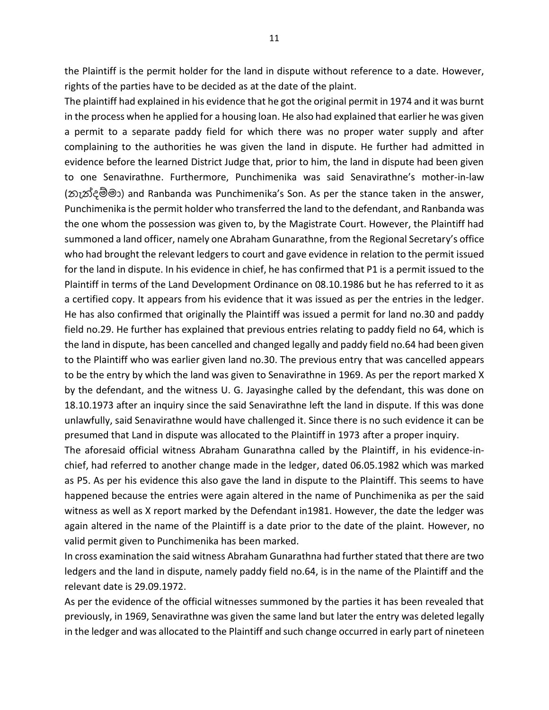the Plaintiff is the permit holder for the land in dispute without reference to a date. However, rights of the parties have to be decided as at the date of the plaint.

The plaintiff had explained in his evidence that he got the original permit in 1974 and it was burnt in the process when he applied for a housing loan. He also had explained that earlier he was given a permit to a separate paddy field for which there was no proper water supply and after complaining to the authorities he was given the land in dispute. He further had admitted in evidence before the learned District Judge that, prior to him, the land in dispute had been given to one Senavirathne. Furthermore, Punchimenika was said Senavirathne's mother-in-law (නැන්දේමා) and Ranbanda was Punchimenika's Son. As per the stance taken in the answer, Punchimenika is the permit holder who transferred the land to the defendant, and Ranbanda was the one whom the possession was given to, by the Magistrate Court. However, the Plaintiff had summoned a land officer, namely one Abraham Gunarathne, from the Regional Secretary's office who had brought the relevant ledgers to court and gave evidence in relation to the permit issued for the land in dispute. In his evidence in chief, he has confirmed that P1 is a permit issued to the Plaintiff in terms of the Land Development Ordinance on 08.10.1986 but he has referred to it as a certified copy. It appears from his evidence that it was issued as per the entries in the ledger. He has also confirmed that originally the Plaintiff was issued a permit for land no.30 and paddy field no.29. He further has explained that previous entries relating to paddy field no 64, which is the land in dispute, has been cancelled and changed legally and paddy field no.64 had been given to the Plaintiff who was earlier given land no.30. The previous entry that was cancelled appears to be the entry by which the land was given to Senavirathne in 1969. As per the report marked X by the defendant, and the witness U. G. Jayasinghe called by the defendant, this was done on 18.10.1973 after an inquiry since the said Senavirathne left the land in dispute. If this was done unlawfully, said Senavirathne would have challenged it. Since there is no such evidence it can be presumed that Land in dispute was allocated to the Plaintiff in 1973 after a proper inquiry.

The aforesaid official witness Abraham Gunarathna called by the Plaintiff, in his evidence-inchief, had referred to another change made in the ledger, dated 06.05.1982 which was marked as P5. As per his evidence this also gave the land in dispute to the Plaintiff. This seems to have happened because the entries were again altered in the name of Punchimenika as per the said witness as well as X report marked by the Defendant in1981. However, the date the ledger was again altered in the name of the Plaintiff is a date prior to the date of the plaint. However, no valid permit given to Punchimenika has been marked.

In cross examination the said witness Abraham Gunarathna had further stated that there are two ledgers and the land in dispute, namely paddy field no.64, is in the name of the Plaintiff and the relevant date is 29.09.1972.

As per the evidence of the official witnesses summoned by the parties it has been revealed that previously, in 1969, Senavirathne was given the same land but later the entry was deleted legally in the ledger and was allocated to the Plaintiff and such change occurred in early part of nineteen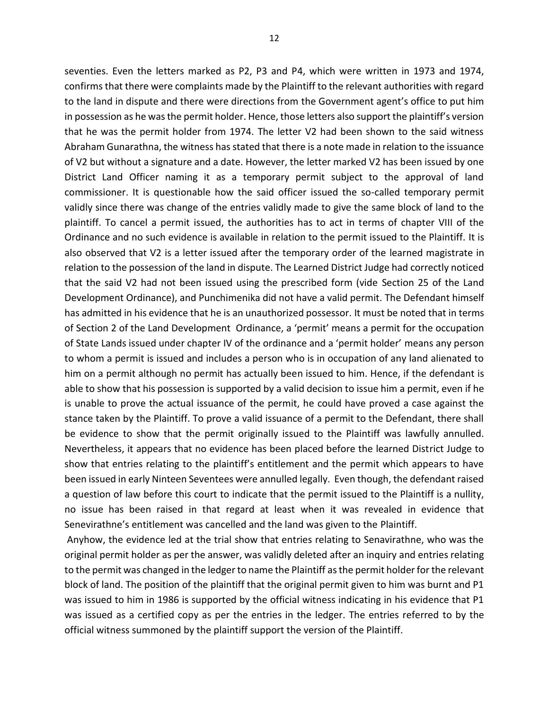seventies. Even the letters marked as P2, P3 and P4, which were written in 1973 and 1974, confirms that there were complaints made by the Plaintiff to the relevant authorities with regard to the land in dispute and there were directions from the Government agent's office to put him in possession as he was the permit holder. Hence, those letters also support the plaintiff's version that he was the permit holder from 1974. The letter V2 had been shown to the said witness Abraham Gunarathna, the witness has stated that there is a note made in relation to the issuance of V2 but without a signature and a date. However, the letter marked V2 has been issued by one District Land Officer naming it as a temporary permit subject to the approval of land commissioner. It is questionable how the said officer issued the so-called temporary permit validly since there was change of the entries validly made to give the same block of land to the plaintiff. To cancel a permit issued, the authorities has to act in terms of chapter VIII of the Ordinance and no such evidence is available in relation to the permit issued to the Plaintiff. It is also observed that V2 is a letter issued after the temporary order of the learned magistrate in relation to the possession of the land in dispute. The Learned District Judge had correctly noticed that the said V2 had not been issued using the prescribed form (vide Section 25 of the Land Development Ordinance), and Punchimenika did not have a valid permit. The Defendant himself has admitted in his evidence that he is an unauthorized possessor. It must be noted that in terms of Section 2 of the Land Development Ordinance, a 'permit' means a permit for the occupation of State Lands issued under chapter IV of the ordinance and a 'permit holder' means any person to whom a permit is issued and includes a person who is in occupation of any land alienated to him on a permit although no permit has actually been issued to him. Hence, if the defendant is able to show that his possession is supported by a valid decision to issue him a permit, even if he is unable to prove the actual issuance of the permit, he could have proved a case against the stance taken by the Plaintiff. To prove a valid issuance of a permit to the Defendant, there shall be evidence to show that the permit originally issued to the Plaintiff was lawfully annulled. Nevertheless, it appears that no evidence has been placed before the learned District Judge to show that entries relating to the plaintiff's entitlement and the permit which appears to have been issued in early Ninteen Seventees were annulled legally. Even though, the defendant raised a question of law before this court to indicate that the permit issued to the Plaintiff is a nullity, no issue has been raised in that regard at least when it was revealed in evidence that Senevirathne's entitlement was cancelled and the land was given to the Plaintiff.

Anyhow, the evidence led at the trial show that entries relating to Senavirathne, who was the original permit holder as per the answer, was validly deleted after an inquiry and entries relating to the permit was changed in the ledger to name the Plaintiff as the permit holder for the relevant block of land. The position of the plaintiff that the original permit given to him was burnt and P1 was issued to him in 1986 is supported by the official witness indicating in his evidence that P1 was issued as a certified copy as per the entries in the ledger. The entries referred to by the official witness summoned by the plaintiff support the version of the Plaintiff.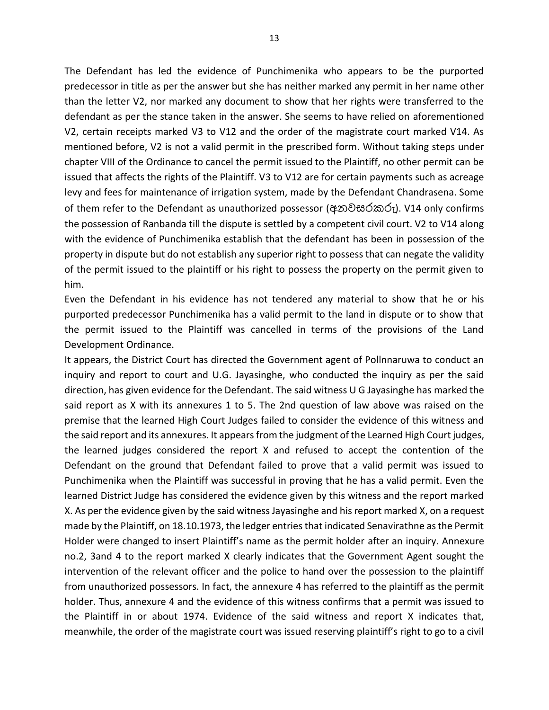The Defendant has led the evidence of Punchimenika who appears to be the purported predecessor in title as per the answer but she has neither marked any permit in her name other than the letter V2, nor marked any document to show that her rights were transferred to the defendant as per the stance taken in the answer. She seems to have relied on aforementioned V2, certain receipts marked V3 to V12 and the order of the magistrate court marked V14. As mentioned before, V2 is not a valid permit in the prescribed form. Without taking steps under chapter VIII of the Ordinance to cancel the permit issued to the Plaintiff, no other permit can be issued that affects the rights of the Plaintiff. V3 to V12 are for certain payments such as acreage levy and fees for maintenance of irrigation system, made by the Defendant Chandrasena. Some of them refer to the Defendant as unauthorized possessor (අනවසරකරු). V14 only confirms the possession of Ranbanda till the dispute is settled by a competent civil court. V2 to V14 along with the evidence of Punchimenika establish that the defendant has been in possession of the property in dispute but do not establish any superior right to possess that can negate the validity of the permit issued to the plaintiff or his right to possess the property on the permit given to him.

Even the Defendant in his evidence has not tendered any material to show that he or his purported predecessor Punchimenika has a valid permit to the land in dispute or to show that the permit issued to the Plaintiff was cancelled in terms of the provisions of the Land Development Ordinance.

It appears, the District Court has directed the Government agent of Pollnnaruwa to conduct an inquiry and report to court and U.G. Jayasinghe, who conducted the inquiry as per the said direction, has given evidence for the Defendant. The said witness U G Jayasinghe has marked the said report as X with its annexures 1 to 5. The 2nd question of law above was raised on the premise that the learned High Court Judges failed to consider the evidence of this witness and the said report and its annexures. It appears from the judgment of the Learned High Court judges, the learned judges considered the report X and refused to accept the contention of the Defendant on the ground that Defendant failed to prove that a valid permit was issued to Punchimenika when the Plaintiff was successful in proving that he has a valid permit. Even the learned District Judge has considered the evidence given by this witness and the report marked X. As per the evidence given by the said witness Jayasinghe and his report marked X, on a request made by the Plaintiff, on 18.10.1973, the ledger entries that indicated Senavirathne as the Permit Holder were changed to insert Plaintiff's name as the permit holder after an inquiry. Annexure no.2, 3and 4 to the report marked X clearly indicates that the Government Agent sought the intervention of the relevant officer and the police to hand over the possession to the plaintiff from unauthorized possessors. In fact, the annexure 4 has referred to the plaintiff as the permit holder. Thus, annexure 4 and the evidence of this witness confirms that a permit was issued to the Plaintiff in or about 1974. Evidence of the said witness and report X indicates that, meanwhile, the order of the magistrate court was issued reserving plaintiff's right to go to a civil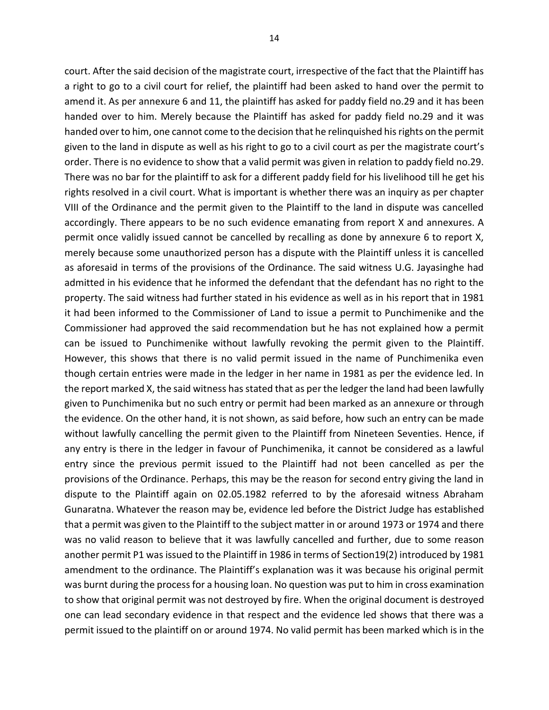court. After the said decision of the magistrate court, irrespective of the fact that the Plaintiff has a right to go to a civil court for relief, the plaintiff had been asked to hand over the permit to amend it. As per annexure 6 and 11, the plaintiff has asked for paddy field no.29 and it has been handed over to him. Merely because the Plaintiff has asked for paddy field no.29 and it was handed over to him, one cannot come to the decision that he relinquished his rights on the permit given to the land in dispute as well as his right to go to a civil court as per the magistrate court's order. There is no evidence to show that a valid permit was given in relation to paddy field no.29. There was no bar for the plaintiff to ask for a different paddy field for his livelihood till he get his rights resolved in a civil court. What is important is whether there was an inquiry as per chapter VIII of the Ordinance and the permit given to the Plaintiff to the land in dispute was cancelled accordingly. There appears to be no such evidence emanating from report X and annexures. A permit once validly issued cannot be cancelled by recalling as done by annexure 6 to report X, merely because some unauthorized person has a dispute with the Plaintiff unless it is cancelled as aforesaid in terms of the provisions of the Ordinance. The said witness U.G. Jayasinghe had admitted in his evidence that he informed the defendant that the defendant has no right to the property. The said witness had further stated in his evidence as well as in his report that in 1981 it had been informed to the Commissioner of Land to issue a permit to Punchimenike and the Commissioner had approved the said recommendation but he has not explained how a permit can be issued to Punchimenike without lawfully revoking the permit given to the Plaintiff. However, this shows that there is no valid permit issued in the name of Punchimenika even though certain entries were made in the ledger in her name in 1981 as per the evidence led. In the report marked X, the said witness has stated that as per the ledger the land had been lawfully given to Punchimenika but no such entry or permit had been marked as an annexure or through the evidence. On the other hand, it is not shown, as said before, how such an entry can be made without lawfully cancelling the permit given to the Plaintiff from Nineteen Seventies. Hence, if any entry is there in the ledger in favour of Punchimenika, it cannot be considered as a lawful entry since the previous permit issued to the Plaintiff had not been cancelled as per the provisions of the Ordinance. Perhaps, this may be the reason for second entry giving the land in dispute to the Plaintiff again on 02.05.1982 referred to by the aforesaid witness Abraham Gunaratna. Whatever the reason may be, evidence led before the District Judge has established that a permit was given to the Plaintiff to the subject matter in or around 1973 or 1974 and there was no valid reason to believe that it was lawfully cancelled and further, due to some reason another permit P1 was issued to the Plaintiff in 1986 in terms of Section19(2) introduced by 1981 amendment to the ordinance. The Plaintiff's explanation was it was because his original permit was burnt during the process for a housing loan. No question was put to him in cross examination to show that original permit was not destroyed by fire. When the original document is destroyed one can lead secondary evidence in that respect and the evidence led shows that there was a permit issued to the plaintiff on or around 1974. No valid permit has been marked which is in the